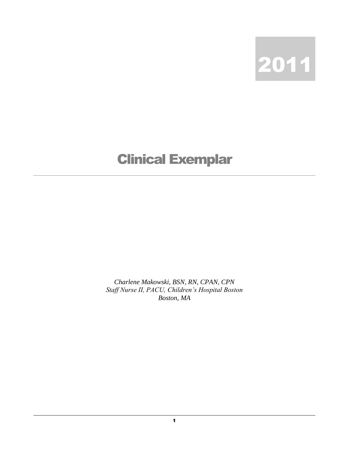

## Clinical Exemplar

*Charlene Makowski, BSN, RN, CPAN, CPN Staff Nurse II, PACU, Children's Hospital Boston Boston, MA*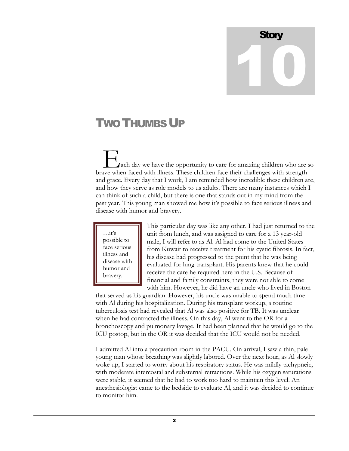## **Story** 10

## **TWO THUMBS UP**

 ach day we have the opportunity to care for amazing children who are so **Example 1**<br>A rach day we have the opportunity to care for amazing children who are s<br>brave when faced with illness. These children face their challenges with strength and grace. Every day that I work, I am reminded how incredible these children are, and how they serve as role models to us adults. There are many instances which I can think of such a child, but there is one that stands out in my mind from the past year. This young man showed me how it's possible to face serious illness and disease with humor and bravery.



This particular day was like any other. I had just returned to the unit from lunch, and was assigned to care for a 13 year-old male, I will refer to as Al. Al had come to the United States from Kuwait to receive treatment for his cystic fibrosis. In fact, his disease had progressed to the point that he was being evaluated for lung transplant. His parents knew that he could receive the care he required here in the U.S. Because of financial and family constraints, they were not able to come with him. However, he did have an uncle who lived in Boston

that served as his guardian. However, his uncle was unable to spend much time with Al during his hospitalization. During his transplant workup, a routine tuberculosis test had revealed that Al was also positive for TB. It was unclear when he had contracted the illness. On this day, Al went to the OR for a bronchoscopy and pulmonary lavage. It had been planned that he would go to the ICU postop, but in the OR it was decided that the ICU would not be needed.

I admitted Al into a precaution room in the PACU. On arrival, I saw a thin, pale young man whose breathing was slightly labored. Over the next hour, as Al slowly woke up, I started to worry about his respiratory status. He was mildly tachypneic, with moderate intercostal and substernal retractions. While his oxygen saturations were stable, it seemed that he had to work too hard to maintain this level. An anesthesiologist came to the bedside to evaluate Al, and it was decided to continue to monitor him.